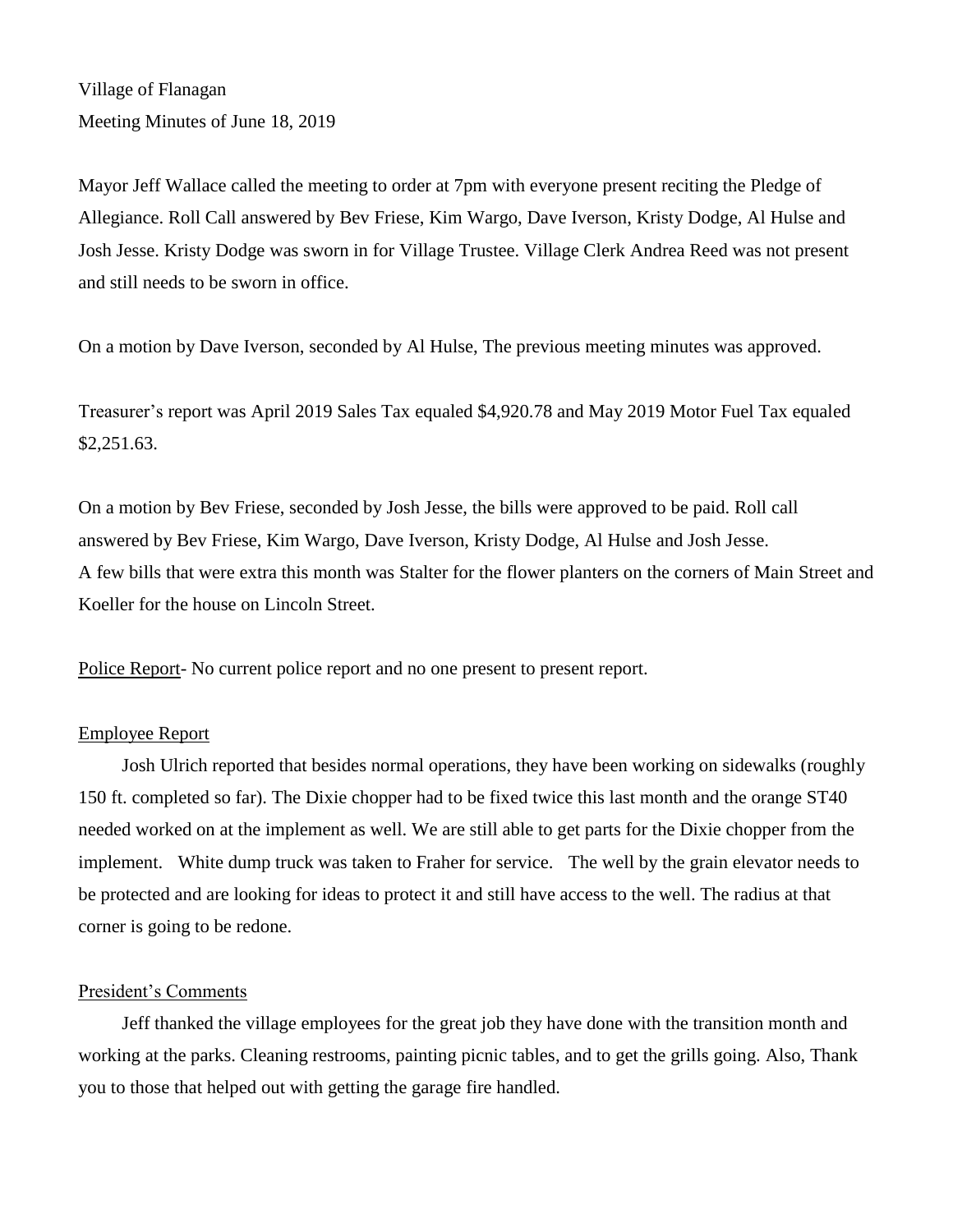Village of Flanagan Meeting Minutes of June 18, 2019

Mayor Jeff Wallace called the meeting to order at 7pm with everyone present reciting the Pledge of Allegiance. Roll Call answered by Bev Friese, Kim Wargo, Dave Iverson, Kristy Dodge, Al Hulse and Josh Jesse. Kristy Dodge was sworn in for Village Trustee. Village Clerk Andrea Reed was not present and still needs to be sworn in office.

On a motion by Dave Iverson, seconded by Al Hulse, The previous meeting minutes was approved.

Treasurer's report was April 2019 Sales Tax equaled \$4,920.78 and May 2019 Motor Fuel Tax equaled \$2,251.63.

On a motion by Bev Friese, seconded by Josh Jesse, the bills were approved to be paid. Roll call answered by Bev Friese, Kim Wargo, Dave Iverson, Kristy Dodge, Al Hulse and Josh Jesse. A few bills that were extra this month was Stalter for the flower planters on the corners of Main Street and Koeller for the house on Lincoln Street.

Police Report- No current police report and no one present to present report.

# Employee Report

Josh Ulrich reported that besides normal operations, they have been working on sidewalks (roughly 150 ft. completed so far). The Dixie chopper had to be fixed twice this last month and the orange ST40 needed worked on at the implement as well. We are still able to get parts for the Dixie chopper from the implement. White dump truck was taken to Fraher for service. The well by the grain elevator needs to be protected and are looking for ideas to protect it and still have access to the well. The radius at that corner is going to be redone.

# President's Comments

Jeff thanked the village employees for the great job they have done with the transition month and working at the parks. Cleaning restrooms, painting picnic tables, and to get the grills going. Also, Thank you to those that helped out with getting the garage fire handled.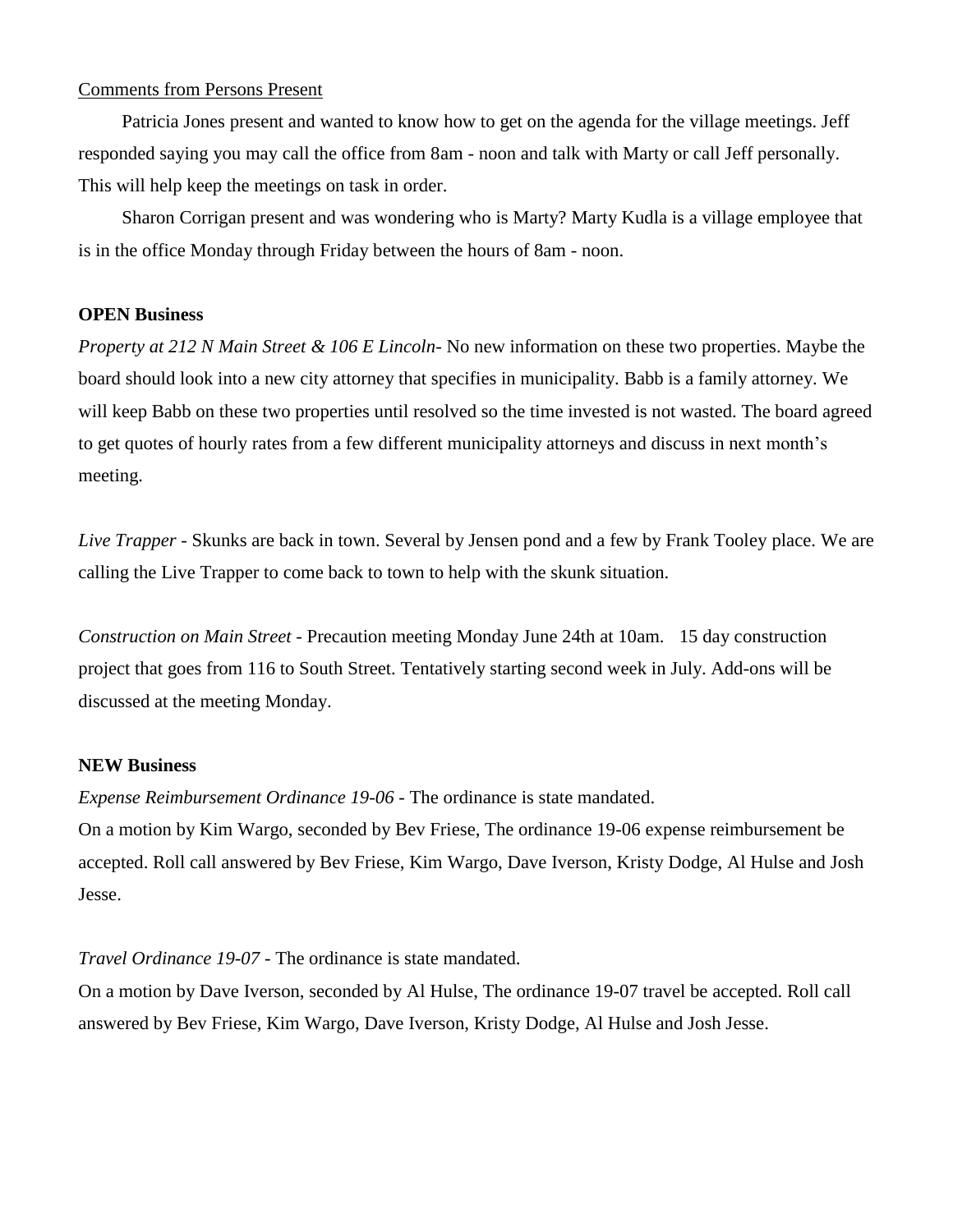# Comments from Persons Present

Patricia Jones present and wanted to know how to get on the agenda for the village meetings. Jeff responded saying you may call the office from 8am - noon and talk with Marty or call Jeff personally. This will help keep the meetings on task in order.

Sharon Corrigan present and was wondering who is Marty? Marty Kudla is a village employee that is in the office Monday through Friday between the hours of 8am - noon.

#### **OPEN Business**

*Property at 212 N Main Street & 106 E Lincoln*- No new information on these two properties. Maybe the board should look into a new city attorney that specifies in municipality. Babb is a family attorney. We will keep Babb on these two properties until resolved so the time invested is not wasted. The board agreed to get quotes of hourly rates from a few different municipality attorneys and discuss in next month's meeting.

*Live Trapper* - Skunks are back in town. Several by Jensen pond and a few by Frank Tooley place. We are calling the Live Trapper to come back to town to help with the skunk situation.

*Construction on Main Street* - Precaution meeting Monday June 24th at 10am. 15 day construction project that goes from 116 to South Street. Tentatively starting second week in July. Add-ons will be discussed at the meeting Monday.

### **NEW Business**

*Expense Reimbursement Ordinance 19-06* - The ordinance is state mandated.

On a motion by Kim Wargo, seconded by Bev Friese, The ordinance 19-06 expense reimbursement be accepted. Roll call answered by Bev Friese, Kim Wargo, Dave Iverson, Kristy Dodge, Al Hulse and Josh Jesse.

*Travel Ordinance 19-07* - The ordinance is state mandated.

On a motion by Dave Iverson, seconded by Al Hulse, The ordinance 19-07 travel be accepted. Roll call answered by Bev Friese, Kim Wargo, Dave Iverson, Kristy Dodge, Al Hulse and Josh Jesse.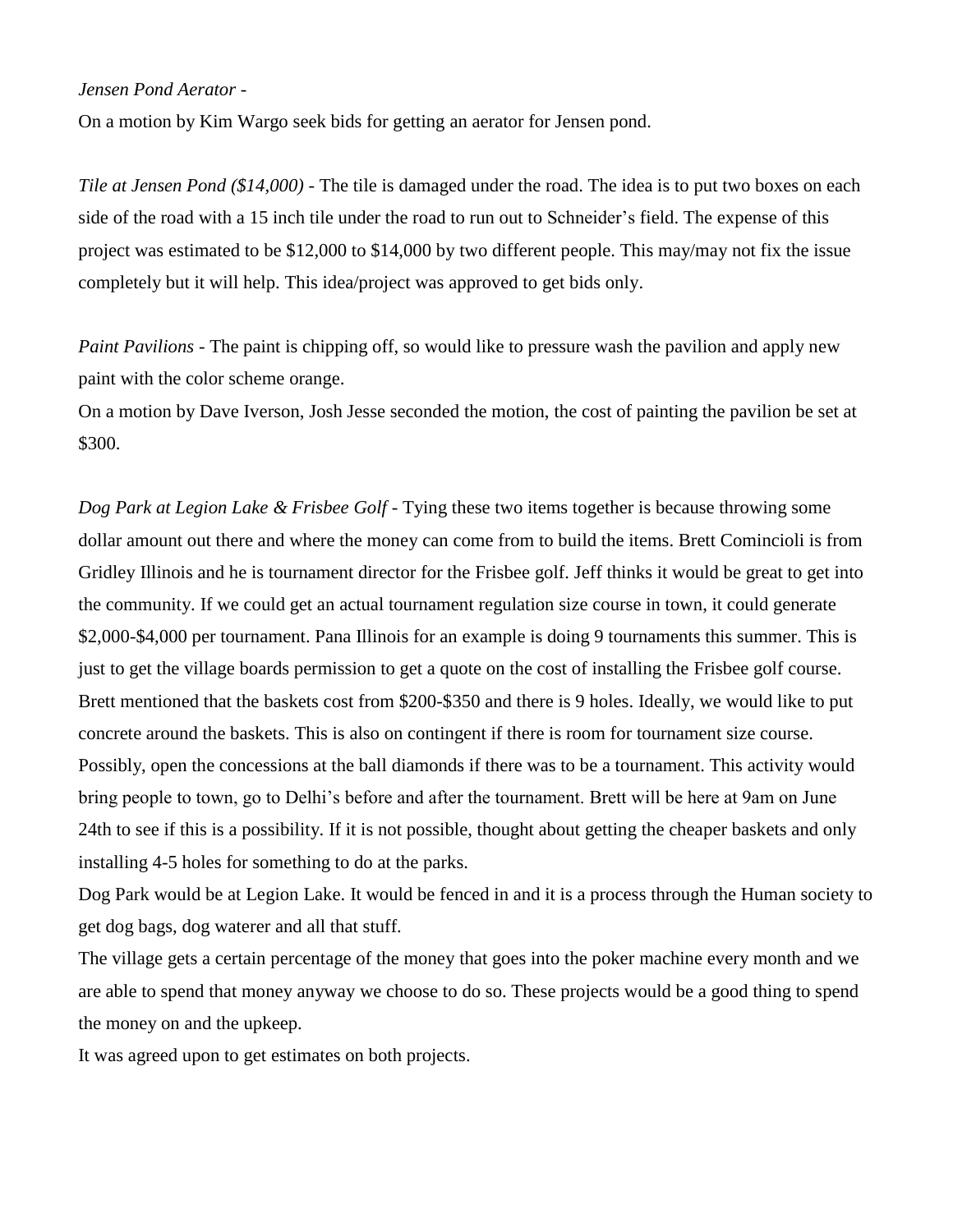# *Jensen Pond Aerator* -

On a motion by Kim Wargo seek bids for getting an aerator for Jensen pond.

*Tile at Jensen Pond (\$14,000) -* The tile is damaged under the road. The idea is to put two boxes on each side of the road with a 15 inch tile under the road to run out to Schneider's field. The expense of this project was estimated to be \$12,000 to \$14,000 by two different people. This may/may not fix the issue completely but it will help. This idea/project was approved to get bids only.

*Paint Pavilions* - The paint is chipping off, so would like to pressure wash the pavilion and apply new paint with the color scheme orange.

On a motion by Dave Iverson, Josh Jesse seconded the motion, the cost of painting the pavilion be set at \$300.

*Dog Park at Legion Lake & Frisbee Golf* - Tying these two items together is because throwing some dollar amount out there and where the money can come from to build the items. Brett Comincioli is from Gridley Illinois and he is tournament director for the Frisbee golf. Jeff thinks it would be great to get into the community. If we could get an actual tournament regulation size course in town, it could generate \$2,000-\$4,000 per tournament. Pana Illinois for an example is doing 9 tournaments this summer. This is just to get the village boards permission to get a quote on the cost of installing the Frisbee golf course. Brett mentioned that the baskets cost from \$200-\$350 and there is 9 holes. Ideally, we would like to put concrete around the baskets. This is also on contingent if there is room for tournament size course. Possibly, open the concessions at the ball diamonds if there was to be a tournament. This activity would bring people to town, go to Delhi's before and after the tournament. Brett will be here at 9am on June 24th to see if this is a possibility. If it is not possible, thought about getting the cheaper baskets and only installing 4-5 holes for something to do at the parks.

Dog Park would be at Legion Lake. It would be fenced in and it is a process through the Human society to get dog bags, dog waterer and all that stuff.

The village gets a certain percentage of the money that goes into the poker machine every month and we are able to spend that money anyway we choose to do so. These projects would be a good thing to spend the money on and the upkeep.

It was agreed upon to get estimates on both projects.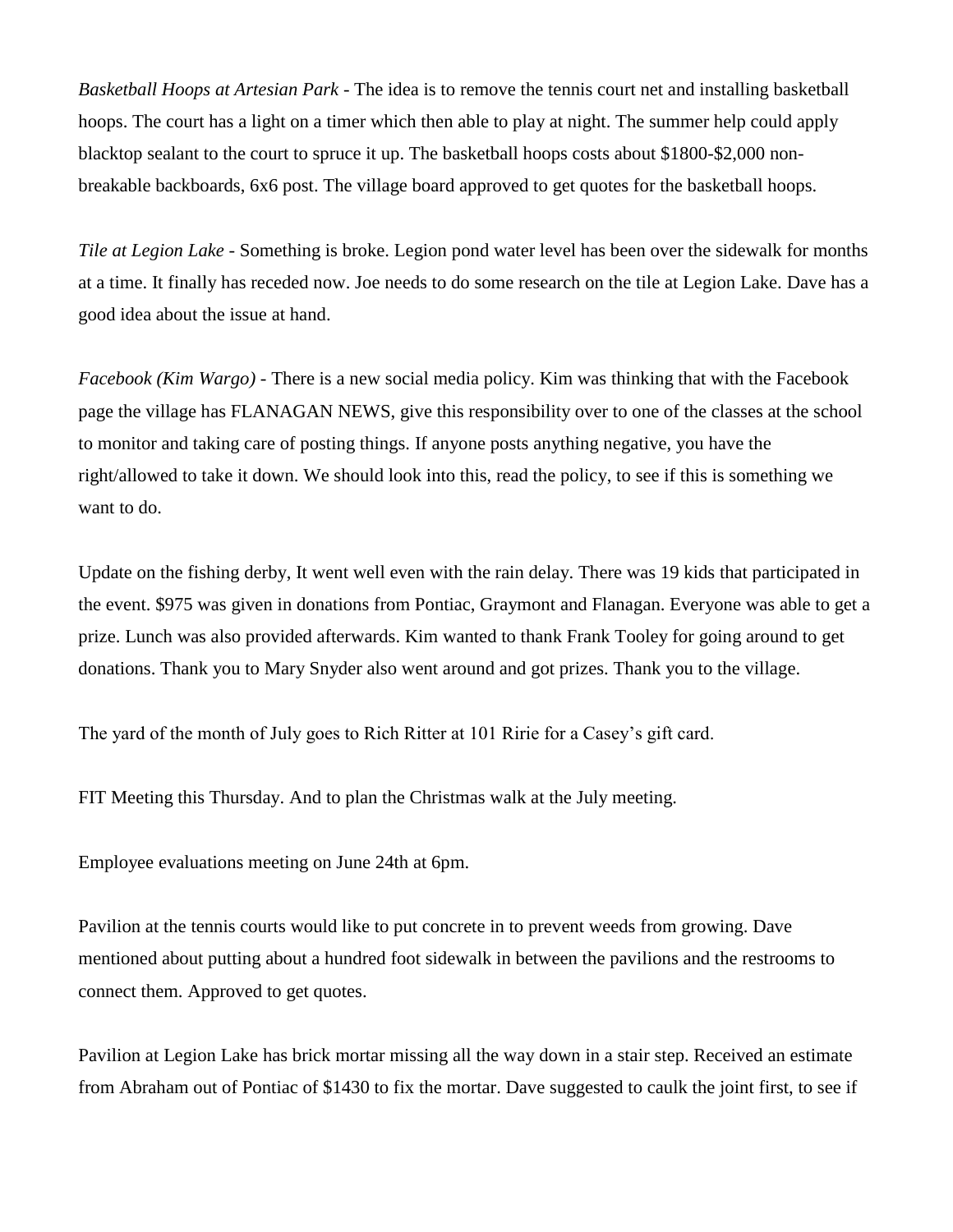*Basketball Hoops at Artesian Park* - The idea is to remove the tennis court net and installing basketball hoops. The court has a light on a timer which then able to play at night. The summer help could apply blacktop sealant to the court to spruce it up. The basketball hoops costs about \$1800-\$2,000 nonbreakable backboards, 6x6 post. The village board approved to get quotes for the basketball hoops.

*Tile at Legion Lake* - Something is broke. Legion pond water level has been over the sidewalk for months at a time. It finally has receded now. Joe needs to do some research on the tile at Legion Lake. Dave has a good idea about the issue at hand.

*Facebook (Kim Wargo)* - There is a new social media policy. Kim was thinking that with the Facebook page the village has FLANAGAN NEWS, give this responsibility over to one of the classes at the school to monitor and taking care of posting things. If anyone posts anything negative, you have the right/allowed to take it down. We should look into this, read the policy, to see if this is something we want to do.

Update on the fishing derby, It went well even with the rain delay. There was 19 kids that participated in the event. \$975 was given in donations from Pontiac, Graymont and Flanagan. Everyone was able to get a prize. Lunch was also provided afterwards. Kim wanted to thank Frank Tooley for going around to get donations. Thank you to Mary Snyder also went around and got prizes. Thank you to the village.

The yard of the month of July goes to Rich Ritter at 101 Ririe for a Casey's gift card.

FIT Meeting this Thursday. And to plan the Christmas walk at the July meeting.

Employee evaluations meeting on June 24th at 6pm.

Pavilion at the tennis courts would like to put concrete in to prevent weeds from growing. Dave mentioned about putting about a hundred foot sidewalk in between the pavilions and the restrooms to connect them. Approved to get quotes.

Pavilion at Legion Lake has brick mortar missing all the way down in a stair step. Received an estimate from Abraham out of Pontiac of \$1430 to fix the mortar. Dave suggested to caulk the joint first, to see if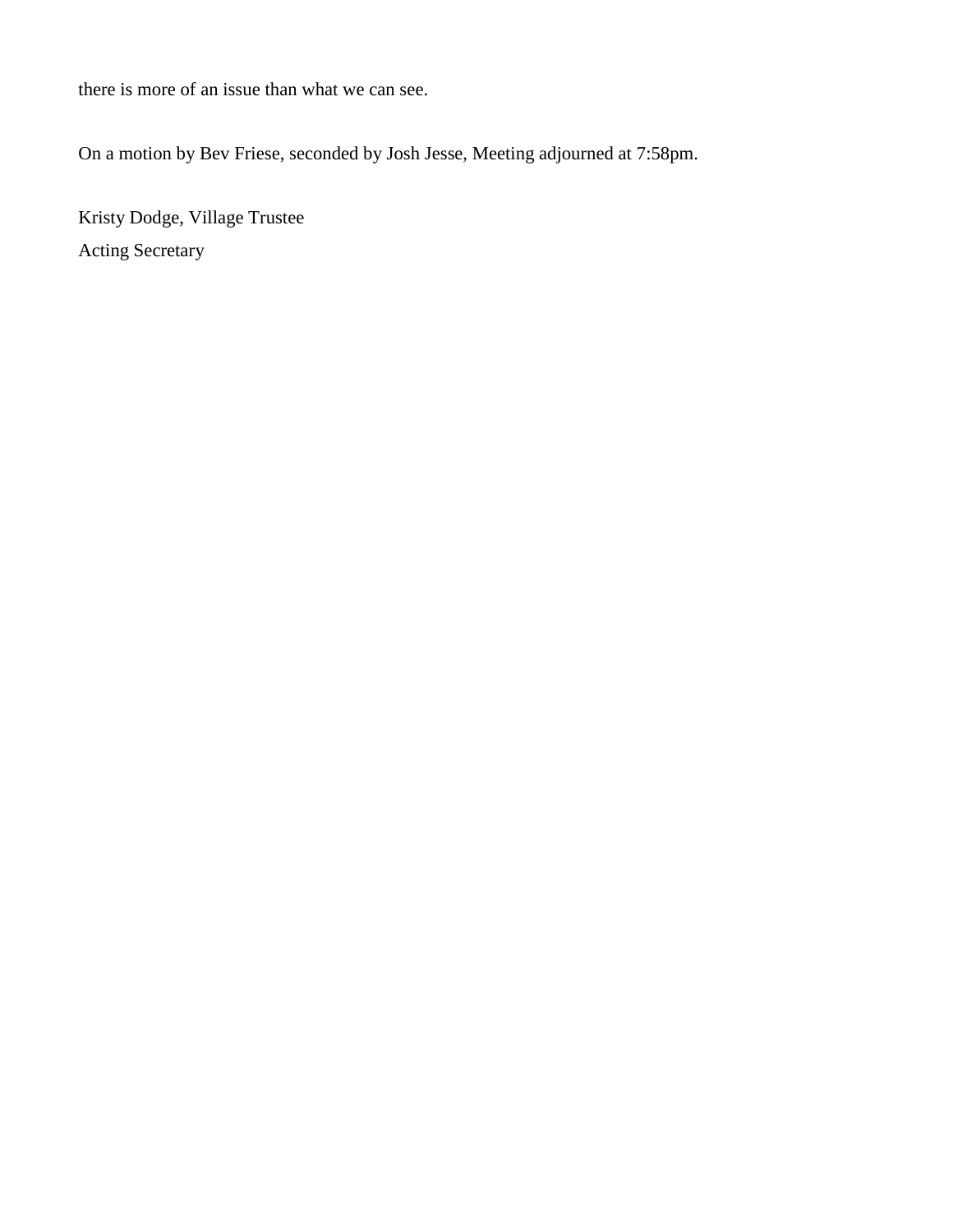there is more of an issue than what we can see.

On a motion by Bev Friese, seconded by Josh Jesse, Meeting adjourned at 7:58pm.

Kristy Dodge, Village Trustee Acting Secretary